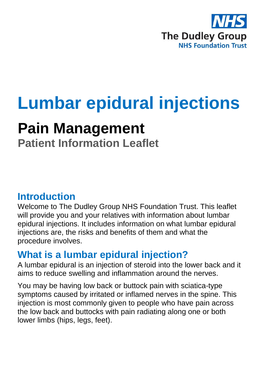

# **Lumbar epidural injections**

## **Pain Management**

**Patient Information Leaflet**

## **Introduction**

Welcome to The Dudley Group NHS Foundation Trust. This leaflet will provide you and your relatives with information about lumbar epidural injections. It includes information on what lumbar epidural injections are, the risks and benefits of them and what the procedure involves.

## **What is a lumbar epidural injection?**

A lumbar epidural is an injection of steroid into the lower back and it aims to reduce swelling and inflammation around the nerves.

You may be having low back or buttock pain with sciatica-type symptoms caused by irritated or inflamed nerves in the spine. This injection is most commonly given to people who have pain across the low back and buttocks with pain radiating along one or both lower limbs (hips, legs, feet).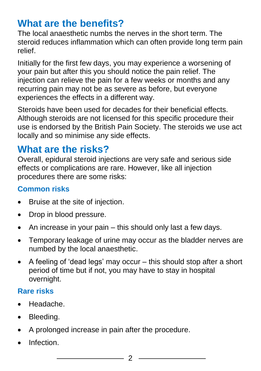## **What are the benefits?**

The local anaesthetic numbs the nerves in the short term. The steroid reduces inflammation which can often provide long term pain relief.

Initially for the first few days, you may experience a worsening of your pain but after this you should notice the pain relief. The injection can relieve the pain for a few weeks or months and any recurring pain may not be as severe as before, but everyone experiences the effects in a different way.

Steroids have been used for decades for their beneficial effects. Although steroids are not licensed for this specific procedure their use is endorsed by the British Pain Society. The steroids we use act locally and so minimise any side effects.

## **What are the risks?**

Overall, epidural steroid injections are very safe and serious side effects or complications are rare. However, like all injection procedures there are some risks:

#### **Common risks**

- Bruise at the site of injection.
- Drop in blood pressure.
- An increase in your pain this should only last a few days.
- Temporary leakage of urine may occur as the bladder nerves are numbed by the local anaesthetic.
- A feeling of 'dead legs' may occur this should stop after a short period of time but if not, you may have to stay in hospital overnight.

### **Rare risks**

- Headache.
- Bleeding.
- A prolonged increase in pain after the procedure.
- Infection.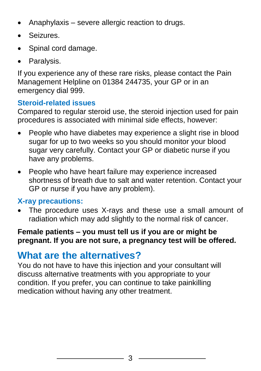- Anaphylaxis severe allergic reaction to drugs.
- Seizures.
- Spinal cord damage.
- Paralysis.

If you experience any of these rare risks, please contact the Pain Management Helpline on 01384 244735, your GP or in an emergency dial 999.

#### **Steroid-related issues**

Compared to regular steroid use, the steroid injection used for pain procedures is associated with minimal side effects, however:

- People who have diabetes may experience a slight rise in blood sugar for up to two weeks so you should monitor your blood sugar very carefully. Contact your GP or diabetic nurse if you have any problems.
- People who have heart failure may experience increased shortness of breath due to salt and water retention. Contact your GP or nurse if you have any problem).

#### **X-ray precautions:**

 The procedure uses X-rays and these use a small amount of radiation which may add slightly to the normal risk of cancer.

#### **Female patients – you must tell us if you are or might be pregnant. If you are not sure, a pregnancy test will be offered.**

## **What are the alternatives?**

You do not have to have this injection and your consultant will discuss alternative treatments with you appropriate to your condition. If you prefer, you can continue to take painkilling medication without having any other treatment.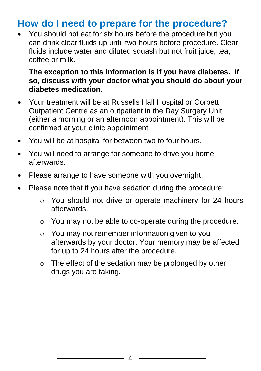## **How do I need to prepare for the procedure?**

 You should not eat for six hours before the procedure but you can drink clear fluids up until two hours before procedure. Clear fluids include water and diluted squash but not fruit juice, tea, coffee or milk.

#### **The exception to this information is if you have diabetes. If so, discuss with your doctor what you should do about your diabetes medication.**

- Your treatment will be at Russells Hall Hospital or Corbett Outpatient Centre as an outpatient in the Day Surgery Unit (either a morning or an afternoon appointment). This will be confirmed at your clinic appointment.
- You will be at hospital for between two to four hours.
- You will need to arrange for someone to drive you home afterwards.
- Please arrange to have someone with you overnight.
- Please note that if you have sedation during the procedure:
	- o You should not drive or operate machinery for 24 hours afterwards.
	- o You may not be able to co-operate during the procedure.
	- o You may not remember information given to you afterwards by your doctor. Your memory may be affected for up to 24 hours after the procedure.
	- o The effect of the sedation may be prolonged by other drugs you are taking.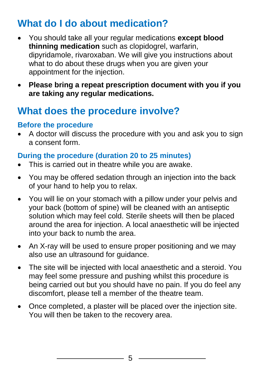## **What do I do about medication?**

- You should take all your regular medications **except blood thinning medication** such as clopidogrel, warfarin, dipyridamole, rivaroxaban. We will give you instructions about what to do about these drugs when you are given your appointment for the injection.
- **Please bring a repeat prescription document with you if you are taking any regular medications.**

## **What does the procedure involve?**

#### **Before the procedure**

 A doctor will discuss the procedure with you and ask you to sign a consent form.

#### **During the procedure (duration 20 to 25 minutes)**

- This is carried out in theatre while you are awake.
- You may be offered sedation through an injection into the back of your hand to help you to relax.
- You will lie on your stomach with a pillow under your pelvis and your back (bottom of spine) will be cleaned with an antiseptic solution which may feel cold. Sterile sheets will then be placed around the area for injection. A local anaesthetic will be injected into your back to numb the area.
- An X-ray will be used to ensure proper positioning and we may also use an ultrasound for guidance.
- The site will be injected with local anaesthetic and a steroid. You may feel some pressure and pushing whilst this procedure is being carried out but you should have no pain. If you do feel any discomfort, please tell a member of the theatre team.
- Once completed, a plaster will be placed over the injection site. You will then be taken to the recovery area.

5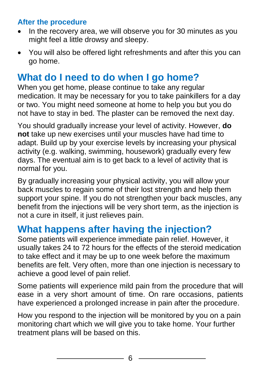#### **After the procedure**

- In the recovery area, we will observe you for 30 minutes as you might feel a little drowsy and sleepy.
- You will also be offered light refreshments and after this you can go home.

## **What do I need to do when I go home?**

When you get home, please continue to take any regular medication. It may be necessary for you to take painkillers for a day or two. You might need someone at home to help you but you do not have to stay in bed. The plaster can be removed the next day.

You should gradually increase your level of activity. However, **do not** take up new exercises until your muscles have had time to adapt. Build up by your exercise levels by increasing your physical activity (e.g. walking, swimming, housework) gradually every few days. The eventual aim is to get back to a level of activity that is normal for you.

By gradually increasing your physical activity, you will allow your back muscles to regain some of their lost strength and help them support your spine. If you do not strengthen your back muscles, any benefit from the injections will be very short term, as the injection is not a cure in itself, it just relieves pain.

## **What happens after having the injection?**

Some patients will experience immediate pain relief. However, it usually takes 24 to 72 hours for the effects of the steroid medication to take effect and it may be up to one week before the maximum benefits are felt. Very often, more than one injection is necessary to achieve a good level of pain relief.

Some patients will experience mild pain from the procedure that will ease in a very short amount of time. On rare occasions, patients have experienced a prolonged increase in pain after the procedure.

How you respond to the injection will be monitored by you on a pain monitoring chart which we will give you to take home. Your further treatment plans will be based on this.